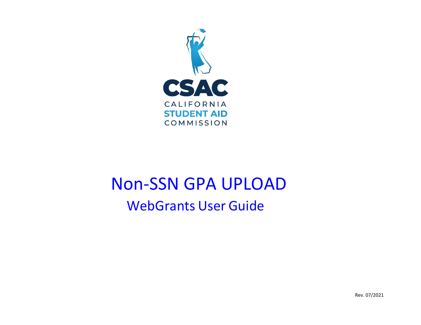

# WebGrants User Guide Non-SSN GPA UPLOAD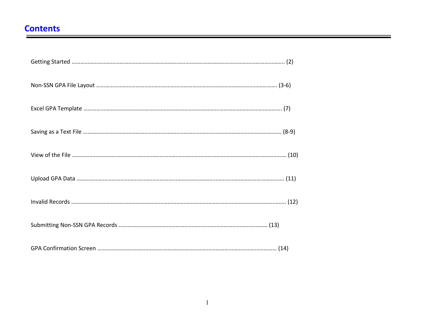## **Contents**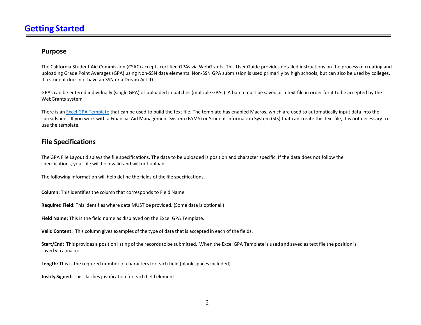#### **Purpose**

 uploading Grade Point Averages (GPA) using Non-SSN data elements. Non-SSN GPA submission is used primarily by high schools, but can also be used by colleges, The California Student Aid Commission (CSAC) accepts certified GPAs via WebGrants. This User Guide provides detailed instructions on the process of creating and if a student does not have an SSN or a Dream Act ID.

GPAs can be entered individually (single GPA) or uploaded in batches (multiple GPAs). A batch must be saved as a text file in order for it to be accepted by the WebGrants system.

There is a[n Excel GPA Template t](https://www.csac.ca.gov/sites/main/files/file-attachments/non-ssngpatemplate.xls?1508974763)hat can be used to build the text file. The template has enabled Macros, which are used to automatically input data into the spreadsheet. If you work with a Financial Aid Management System (FAMS) or Student Information System (SIS) that can create this text file, it is not necessary to use the template.

#### **File Specifications**

 The GPA File Layout displays the file specifications. The data to be uploaded is position and character specific. If the data does not follow the specifications, your file will be invalid and will not upload.

The following information will help define the fields of the file specifications.

**Column:** This identifies the column that corresponds to Field Name

 **Required Field:** This identifies where data MUST be provided. (Some data is optional.)

 **Field Name:** This is the field name as displayed on the Excel GPA Template.

 **Valid Content:** This column gives examples of the type of data that is accepted in each of the fields.

 **Start/End:** This provides a position listing of the records to be submitted. When the Excel GPA Template is used and saved as text file the position is saved via a macro.

**Length:** This is the required number of characters for each field (blank spaces included).

 **Justify Signed:** This clarifies justification for each field element.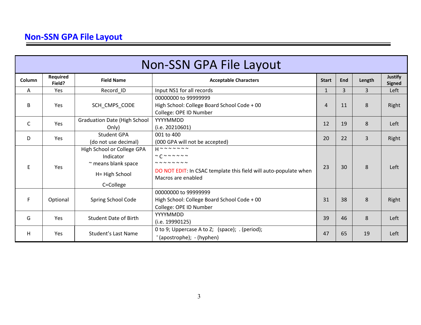|        | <b>Non-SSN GPA File Layout</b> |                                                                                                    |                                                                                                                                                                                                                                  |                |     |                |                          |  |  |  |  |
|--------|--------------------------------|----------------------------------------------------------------------------------------------------|----------------------------------------------------------------------------------------------------------------------------------------------------------------------------------------------------------------------------------|----------------|-----|----------------|--------------------------|--|--|--|--|
| Column | Required<br>Field?             | <b>Field Name</b>                                                                                  | <b>Acceptable Characters</b>                                                                                                                                                                                                     | <b>Start</b>   | End | Length         | Justify<br><b>Signed</b> |  |  |  |  |
| A      | <b>Yes</b>                     | Record_ID                                                                                          | Input NS1 for all records                                                                                                                                                                                                        | $\mathbf{1}$   | 3   | $\overline{3}$ | Left                     |  |  |  |  |
| B      | <b>Yes</b>                     | SCH_CMPS_CODE                                                                                      | 00000000 to 99999999<br>High School: College Board School Code + 00<br>College: OPE ID Number                                                                                                                                    | $\overline{4}$ | 11  | 8              | Right                    |  |  |  |  |
| C      | Yes                            | <b>Graduation Date (High School</b><br>Only)                                                       | YYYYMMDD<br>(i.e. 20210601)                                                                                                                                                                                                      | 12             | 19  | 8              | Left                     |  |  |  |  |
| D      | Yes                            | <b>Student GPA</b><br>(do not use decimal)                                                         | 001 to 400<br>(000 GPA will not be accepted)                                                                                                                                                                                     | 20             | 22  | 3              | Right                    |  |  |  |  |
| E      | <b>Yes</b>                     | High School or College GPA<br>Indicator<br>$\sim$ means blank space<br>H= High School<br>C=College | $H \sim \sim \sim \sim \sim \sim \sim$<br>$\sim$ $C \sim \sim \sim \sim \sim \sim$<br>$\sim$ $\sim$ $\sim$ $\sim$ $\sim$ $\sim$ $\sim$<br>DO NOT EDIT: In CSAC template this field will auto-populate when<br>Macros are enabled |                | 30  | 8              | Left                     |  |  |  |  |
| F      | Optional                       | Spring School Code                                                                                 | 00000000 to 99999999<br>High School: College Board School Code + 00<br>College: OPE ID Number                                                                                                                                    | 31             | 38  | 8              | Right                    |  |  |  |  |
| G      | Yes                            | <b>Student Date of Birth</b>                                                                       | YYYYMMDD<br>(i.e. 19990125)                                                                                                                                                                                                      | 39             | 46  | 8              | Left                     |  |  |  |  |
| H      | <b>Yes</b>                     | <b>Student's Last Name</b>                                                                         | 0 to 9; Uppercase A to Z; (space); . (period);<br>(apostrophe); - (hyphen)                                                                                                                                                       | 47             | 65  | 19             | Left                     |  |  |  |  |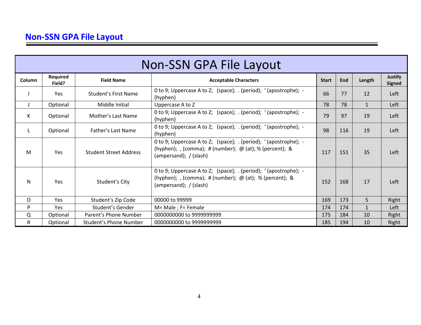|        | <b>Non-SSN GPA File Layout</b> |                               |                                                                                                                                                             |              |     |              |                                 |  |  |  |  |
|--------|--------------------------------|-------------------------------|-------------------------------------------------------------------------------------------------------------------------------------------------------------|--------------|-----|--------------|---------------------------------|--|--|--|--|
| Column | Required<br>Field?             | <b>Field Name</b>             | <b>Acceptable Characters</b>                                                                                                                                | <b>Start</b> | End | Length       | <b>Justify</b><br><b>Signed</b> |  |  |  |  |
|        | <b>Yes</b>                     | Student's First Name          | 0 to 9; Uppercase A to Z; (space); $\cdot$ (period); '(apostrophe); -<br>(hyphen)                                                                           | 66           | 77  | 12           | Left                            |  |  |  |  |
| J      | Optional                       | Middle Initial                | Uppercase A to Z                                                                                                                                            | 78           | 78  | $\mathbf{1}$ | Left                            |  |  |  |  |
| K      | Optional                       | Mother's Last Name            | 0 to 9; Uppercase A to Z; (space); . (period); '(apostrophe); -<br>(hyphen)                                                                                 | 79           | 97  | 19           | Left                            |  |  |  |  |
| L      | Optional                       | Father's Last Name            | 0 to 9; Uppercase A to Z; (space); . (period); '(apostrophe); -<br>(hyphen)                                                                                 | 98           | 116 | 19           | Left                            |  |  |  |  |
| M      | <b>Yes</b>                     | <b>Student Street Address</b> | 0 to 9; Uppercase A to Z; (space); . (period); '(apostrophe); -<br>(hyphen); , (comma); # (number); $\omega$ (at); % (percent); &<br>(ampersand); / (slash) | 117          | 151 | 35           | Left                            |  |  |  |  |
| N      | <b>Yes</b>                     | Student's City                | 0 to 9; Uppercase A to Z; (space); . (period); '(apostrophe); -<br>(hyphen); , (comma); # (number); $\omega$ (at); % (percent); &<br>(ampersand); / (slash) | 152          | 168 | 17           | Left                            |  |  |  |  |
| O      | <b>Yes</b>                     | Student's Zip Code            | 00000 to 99999                                                                                                                                              | 169          | 173 | 5            | Right                           |  |  |  |  |
| P      | Yes.                           | Student's Gender              | $M = Male$ ; F= Female                                                                                                                                      | 174          | 174 | $\mathbf{1}$ | Left                            |  |  |  |  |
| Q      | Optional                       | Parent's Phone Number         | 0000000000 to 9999999999                                                                                                                                    | 175          | 184 | 10           | Right                           |  |  |  |  |
| R.     | Optional                       | <b>Student's Phone Number</b> | 0000000000 to 9999999999                                                                                                                                    | 185          | 194 | 10           | Right                           |  |  |  |  |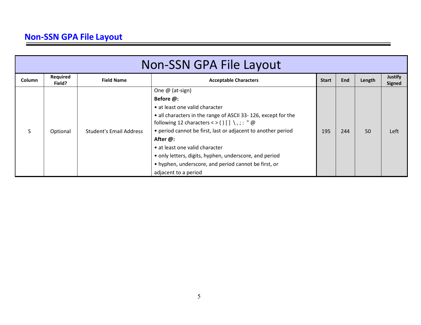|        | <b>Non-SSN GPA File Layout</b> |                                |                                                                                                                    |              |     |        |                          |  |  |  |  |
|--------|--------------------------------|--------------------------------|--------------------------------------------------------------------------------------------------------------------|--------------|-----|--------|--------------------------|--|--|--|--|
| Column | Required<br>Field?             | <b>Field Name</b>              | <b>Acceptable Characters</b>                                                                                       | <b>Start</b> | End | Length | <b>Justify</b><br>Signed |  |  |  |  |
|        |                                |                                | One @ (at-sign)                                                                                                    |              |     |        |                          |  |  |  |  |
|        |                                |                                | Before @:                                                                                                          |              |     |        |                          |  |  |  |  |
|        |                                |                                | • at least one valid character                                                                                     |              |     |        |                          |  |  |  |  |
|        |                                |                                | • all characters in the range of ASCII 33-126, except for the<br>following 12 characters <> () [] \,; : " $\omega$ |              |     |        |                          |  |  |  |  |
|        | Optional                       | <b>Student's Email Address</b> | • period cannot be first, last or adjacent to another period                                                       | 195          | 244 | 50     | Left                     |  |  |  |  |
|        |                                |                                | After @:                                                                                                           |              |     |        |                          |  |  |  |  |
|        |                                |                                | • at least one valid character                                                                                     |              |     |        |                          |  |  |  |  |
|        |                                |                                | • only letters, digits, hyphen, underscore, and period                                                             |              |     |        |                          |  |  |  |  |
|        |                                |                                | • hyphen, underscore, and period cannot be first, or                                                               |              |     |        |                          |  |  |  |  |
|        |                                |                                | adjacent to a period                                                                                               |              |     |        |                          |  |  |  |  |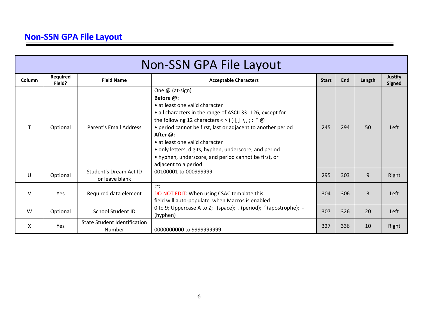|        | <b>Non-SSN GPA File Layout</b> |                                                 |                                                                                                                                                                                                                                                                                                                                                                                                                                               |              |     |        |                                 |  |  |  |  |
|--------|--------------------------------|-------------------------------------------------|-----------------------------------------------------------------------------------------------------------------------------------------------------------------------------------------------------------------------------------------------------------------------------------------------------------------------------------------------------------------------------------------------------------------------------------------------|--------------|-----|--------|---------------------------------|--|--|--|--|
| Column | Required<br>Field?             | <b>Field Name</b>                               | <b>Acceptable Characters</b>                                                                                                                                                                                                                                                                                                                                                                                                                  | <b>Start</b> | End | Length | <b>Justify</b><br><b>Signed</b> |  |  |  |  |
|        | Optional                       | <b>Parent's Email Address</b>                   | One @ (at-sign)<br>Before @:<br>• at least one valid character<br>• all characters in the range of ASCII 33-126, except for<br>the following 12 characters < > () [] \,; : " $\omega$<br>• period cannot be first, last or adjacent to another period<br>After @:<br>• at least one valid character<br>• only letters, digits, hyphen, underscore, and period<br>• hyphen, underscore, and period cannot be first, or<br>adjacent to a period | 245          | 294 | 50     | Left                            |  |  |  |  |
| U      | Optional                       | <b>Student's Dream Act ID</b><br>or leave blank | 00100001 to 000999999                                                                                                                                                                                                                                                                                                                                                                                                                         | 295          | 303 | 9      | Right                           |  |  |  |  |
| $\vee$ | <b>Yes</b>                     | Required data element                           | $:\tilde{\cdot}$<br>DO NOT EDIT: When using CSAC template this<br>field will auto-populate when Macros is enabled                                                                                                                                                                                                                                                                                                                             | 304          | 306 | 3      | Left                            |  |  |  |  |
| W      | Optional                       | <b>School Student ID</b>                        | 0 to 9; Uppercase A to Z; (space); . (period); '(apostrophe); -<br>(hyphen)                                                                                                                                                                                                                                                                                                                                                                   | 307          | 326 | 20     | Left                            |  |  |  |  |
| X      | Yes                            | <b>State Student Identification</b><br>Number   | 0000000000 to 9999999999                                                                                                                                                                                                                                                                                                                                                                                                                      | 327          | 336 | 10     | Right                           |  |  |  |  |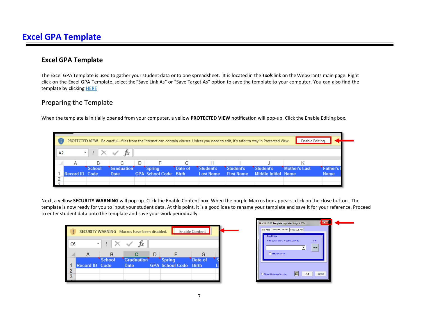#### **Excel GPA Template**

 The Excel GPA Template is used to gather your student data onto one spreadsheet. It is located in the *Tools* link on the WebGrants main page. Right click on the Excel GPA Template, select the "Save Link As" or "Save Target As" option to save the template to your computer. You can also find the template by clicking **HERE** 

#### Preparing the Template

When the template is initially opened from your computer, a yellow **PROTECTED VIEW** notification will pop-up. Click the Enable Editing box.

|            |                       |        |                                      |              |                              |         |                  |                   | PROTECTED VIEW Be careful—files from the Internet can contain viruses. Unless you need to edit, it's safer to stay in Protected View. | Enable Editing |             |
|------------|-----------------------|--------|--------------------------------------|--------------|------------------------------|---------|------------------|-------------------|---------------------------------------------------------------------------------------------------------------------------------------|----------------|-------------|
| $\vert$ A2 |                       |        | $\mathbf{r}$ = $\times \check{ }$ fx |              |                              |         |                  |                   |                                                                                                                                       |                |             |
|            |                       | в      | С                                    | $\mathbf{D}$ |                              | G       |                  |                   |                                                                                                                                       |                |             |
|            |                       | School | Graduation                           |              | <b>Spring</b>                | Date of | Student's        | Student's         | Student's                                                                                                                             | Mother's Last  | Father's    |
|            | <b>Record ID Code</b> |        | Date                                 |              | <b>GPA School Code Birth</b> |         | <b>Last Name</b> | <b>First Name</b> | <b>Middle Initial Name</b>                                                                                                            |                | <b>Name</b> |
|            |                       |        |                                      |              |                              |         |                  |                   |                                                                                                                                       |                |             |
|            |                       |        |                                      |              |                              |         |                  |                   |                                                                                                                                       |                |             |

 Next, a yellow **SECURITY WARNING** will pop-up. Click the Enable Content box. When the purple Macros box appears, click on the close button . The to enter student data onto the template and save your work periodically. template is now ready for you to input your student data. At this point, it is a good idea to rename your template and save it for your reference. Proceed

| 47<br>C <sub>6</sub><br>R<br>D<br>G<br>Graduation<br><b>School</b><br>Date of<br><b>Spring</b><br><b>Record ID Code</b><br><b>GPA School Code</b><br><b>Birth</b><br>Date<br>o | Enable Content<br>SECURITY WARNING Macros have been disabled. |  |  |  |  |  |  |  |  |  |
|--------------------------------------------------------------------------------------------------------------------------------------------------------------------------------|---------------------------------------------------------------|--|--|--|--|--|--|--|--|--|
|                                                                                                                                                                                |                                                               |  |  |  |  |  |  |  |  |  |
|                                                                                                                                                                                |                                                               |  |  |  |  |  |  |  |  |  |
|                                                                                                                                                                                |                                                               |  |  |  |  |  |  |  |  |  |
|                                                                                                                                                                                |                                                               |  |  |  |  |  |  |  |  |  |
|                                                                                                                                                                                |                                                               |  |  |  |  |  |  |  |  |  |
|                                                                                                                                                                                |                                                               |  |  |  |  |  |  |  |  |  |

| NonSSN GPA Template - updated August 2014<br>Save As Text File   Copy XLS File<br>Get Files |              |
|---------------------------------------------------------------------------------------------|--------------|
| <b>Send Files</b><br>Click down arrow to select GPA file<br><b>F</b> Preview Sheet          | File<br>Save |
| $\overline{2}$<br><b>C</b> Show Opening Screen<br>Exit                                      | Cancel       |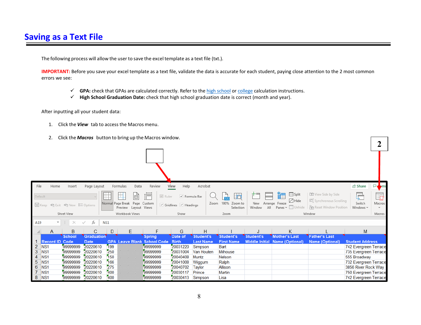The following process will allow the user to save the excel template as a text file (txt.).

**IMPORTANT:** Before you save your excel template as a text file, validate the data is accurate for each student, paying close attention to the 2 most common errors we see:

- **GPA:** check that GPAs are calculated correctly. Refer to th[e high school](https://www.csac.ca.gov/post/high-school-gpa-calculation) o[r college c](https://www.csac.ca.gov/post/college-gpa-calculation)alculation instructions.
- **High School Graduation Date:** check that high school graduation date is correct (month and year).

After inputting all your student data:

- 1. Click the *View* tab to access the Macros menu.
- 2. Click the *Macros* button to bring up the Macros window.

| File                                                    | Home           | Insert                        | Page Layout          |            | Formulas<br>Data                                                | Review                             | Help<br>View                                           | Acrobat           |                                                    |                      |                                                                                 |                                                                                             | <b>∂ Share</b>                                 | <b>De</b> mr |
|---------------------------------------------------------|----------------|-------------------------------|----------------------|------------|-----------------------------------------------------------------|------------------------------------|--------------------------------------------------------|-------------------|----------------------------------------------------|----------------------|---------------------------------------------------------------------------------|---------------------------------------------------------------------------------------------|------------------------------------------------|--------------|
| Default                                                 |                | 日 Keep © Exit © New 三 Options |                      |            | 田<br>圃<br>Normal Page Break Page Custom<br>Preview Layout Views | īE<br>$\vee$ Ruler                 | $\vee$ Formula Bar<br>$\vee$ Gridlines $\vee$ Headings |                   | $\exists \alpha$<br>Zoom 100% Zoom to<br>Selection | New<br>All<br>Window | $\Box$ Split<br>ř.<br>$\Box$ Hide<br>Arrange Freeze<br>$Panes \sim \Box$ Unhide | <b>DD</b> View Side by Side<br>[D] Synchronous Scrolling<br><b>PP</b> Reset Window Position | $\mathbb{C}$<br>Switch<br>Windows ~            | 鼀<br>Macros  |
|                                                         |                | Sheet View                    |                      |            | Workbook Views                                                  |                                    | Show                                                   |                   | Zoom                                               |                      |                                                                                 | Window                                                                                      |                                                | Macros       |
| A19                                                     | v.             | ÷.<br>$\times$                | fx<br>$\checkmark$   | NS1        |                                                                 |                                    |                                                        |                   |                                                    |                      |                                                                                 |                                                                                             |                                                |              |
|                                                         | A              | B                             | С                    | D          | E.                                                              | F                                  | G                                                      | H                 |                                                    |                      | Κ                                                                               |                                                                                             | М                                              |              |
|                                                         |                | <b>School</b>                 | Graduation           |            |                                                                 | <b>Spring</b>                      | Date of                                                | Student's         | <b>Student's</b>                                   | Student's            | <b>Mother's Last</b>                                                            | <b>Father's Last</b>                                                                        |                                                |              |
|                                                         | Record ID Code |                               | <b>Date</b>          |            |                                                                 | <b>GPA Leave Blank School Code</b> | <b>Birth</b>                                           | <b>Last Name</b>  | <b>First Name</b>                                  |                      | Middle Initial Name (Optional)                                                  | <b>Name (Optional)</b>                                                                      | <b>Student Address</b>                         |              |
| $\overline{c}$<br>NS <sub>1</sub>                       |                | 99999999                      | 20220610             | 199        |                                                                 | 99999999                           | 20031220                                               | Simpson           | Bart                                               |                      |                                                                                 |                                                                                             | 742 Evergreen Terrace                          |              |
| 3<br>NS <sub>1</sub>                                    |                | 99999999<br>99999999          | 20220610             | 250<br>150 |                                                                 | 99999999<br>99999999               | 20031004<br>20040408                                   | Van Houten        | <b>Milhouse</b>                                    |                      |                                                                                 |                                                                                             | 735 Evergreen Terrace                          |              |
| NS <sub>1</sub><br>4<br>5<br>NS <sub>1</sub>            |                | 99999999                      | 20220610<br>20220610 | 166        |                                                                 | 99999999                           | 20041008                                               | Muntz             | Nelson<br>Ralph                                    |                      |                                                                                 |                                                                                             | 555 Broadway                                   |              |
| 6<br>NS <sub>1</sub>                                    |                | 99999999                      | 20220610             | 275        |                                                                 | 299999999                          | 20040702                                               | Wiggum<br>Taylor  | Allison                                            |                      |                                                                                 |                                                                                             | 732 Evergreen Terrace<br>3856 River Rock Way   |              |
|                                                         |                |                               |                      |            |                                                                 |                                    |                                                        |                   |                                                    |                      |                                                                                 |                                                                                             |                                                |              |
|                                                         |                |                               |                      |            |                                                                 |                                    |                                                        |                   |                                                    |                      |                                                                                 |                                                                                             |                                                |              |
| $\mathbf{7}$<br>NS <sub>1</sub><br>NS <sub>1</sub><br>8 |                | 99999999<br>99999999          | 20220610<br>20220610 | 400<br>400 |                                                                 | 299999999<br>99999999              | 20030117<br>20030413                                   | Prince<br>Simpson | Martin<br>Lisa                                     |                      |                                                                                 |                                                                                             | 750 Evergreen Terrace<br>742 Evergreen Terrace |              |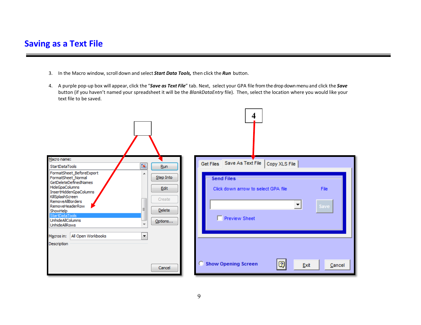## Saving as a Text File

- 3. In the Macro window, scroll down and select *Start Data Tools,* then click the *Run* button.
- 4. A purple pop-up box will appear, click the "*Save as Text File*" tab. Next, select your GPA file from the drop down menu and click the *Save*  button (if you haven't named your spreadsheet it will be the *BlankDataEntry* file). Then, select the location where you would like your text file to be saved.

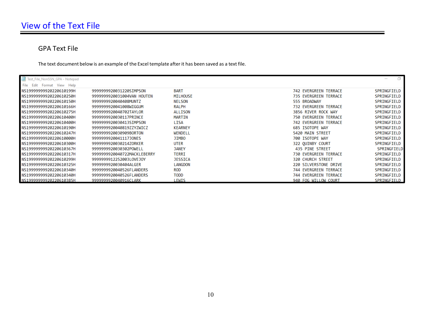#### GPA Text File

The text document below is an example of the Excel template after it has been saved as a text file.

| Test_File_NonSSN_GPA - Notepad |                             |                |                              | 口           |
|--------------------------------|-----------------------------|----------------|------------------------------|-------------|
| File Edit<br>Format View Help  |                             |                |                              |             |
| NS19999999920220610199H        | 9999999920031220SIMPSON     | <b>BART</b>    | 742 EVERGREEN TERRACE        | SPRINGFIELD |
| NS19999999920220610250H        | 9999999920031004VAN HOUTEN  | MILHOUSE       | <b>735 EVERGREEN TERRACE</b> | SPRINGFIELD |
| NS19999999920220610150H        | 9999999920040408MUNTZ       | <b>NELSON</b>  | 555 BROADWAY                 | SPRINGFIELD |
| NS19999999920220610166H        | 9999999920041008WIGGUM      | <b>RALPH</b>   | <b>732 EVERGREEN TERRACE</b> | SPRINGFIELD |
| NS19999999920220610275H        | 9999999920040702TAYLOR      | ALLISON        | 3856 RIVER ROCK WAY          | SPRINGFIELD |
| NS19999999920220610400H        | 9999999920030117PRINCE      | MARTIN         | <b>750 EVERGREEN TERRACE</b> | SPRINGFIELD |
| NS19999999920220610400H        | 9999999920030413SIMPSON     | LISA           | 742 EVERGREEN TERRACE        | SPRINGFIELD |
| NS19999999920220610190H        | 9999999920040819ZZYZWICZ    | <b>KEARNEY</b> | 685 ISOTOPE WAY              | SPRINGFIELD |
| NS19999999920220610247H        | 9999999920030909BORTON      | WENDELL        | 5420 MAIN STREET             | SPRINGFIELD |
| NS19999999920220610000H        | 9999999920041117JONES       | JIMBO          | 700 ISOTOPE WAY              | SPRINGFIELD |
| NS19999999920220610300H        | 9999999920030214ZORKER      | <b>UTER</b>    | 322 OUINBY COURT             | SPRINGFIELD |
| NS19999999920220610367H        | 9999999920030302POWELL      | <b>JANEY</b>   | 435 PINE STREET              | SPRINGFIELD |
| NS19999999920220610317H        | 9999999920040722MACKLEBERRY | <b>TERRI</b>   | 730 EVERGREEN TERRACE        | SPRINGFIELD |
| NS19999999920220610299H        | 9999999912252003LOVEJOY     | <b>JESSICA</b> | <b>320 CHURCH STREET</b>     | SPRINGFIELD |
| NS19999999920220610325H        | 9999999920030404ALGER       | LANGDON        | 220 SILVERSTONE DRIVE        | SPRINGFIELD |
| NS19999999920220610340H        | 9999999920040526FLANDERS    | <b>ROD</b>     | 744 EVERGREEN TERRACE        | SPRINGFIELD |
| NS19999999920220610340H        | 9999999920040526FLANDERS    | <b>TODD</b>    | 744 EVERGREEN TERRACE        | SPRINGFIELD |
| NS19999999920220610385H        | 9999999920040916CLARK       | LEWIS          | 940 FOG WILLOW COURT         | SPRINGFIELD |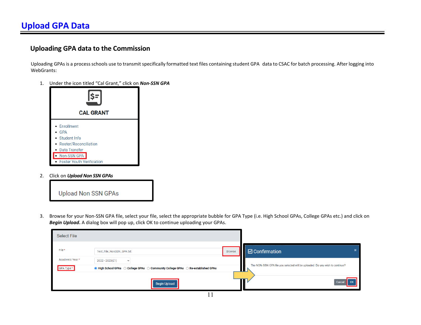#### **Uploading GPA data to the Commission**

 Uploading GPAs is a process schools use to transmit specifically formatted text files containing student GPA data to CSAC for batch processing. After logging into WebGrants:

1. Under the icon titled "Cal Grant," click on *Non-SSN GPA* 



2. Click on *Upload Non SSN GPAs* 



3. Browse for your Non-SSN GPA file, select your file, select the appropriate bubble for GPA Type (i.e. High School GPAs, College GPAs etc.) and click on *Begin Upload***.** A dialog box will pop up, click OK to continue uploading your GPAs.

 $\begin{array}{c} \hline \end{array}$ 

| <b>Select File</b>           |                                                                                                                     |               |                                                                                   |
|------------------------------|---------------------------------------------------------------------------------------------------------------------|---------------|-----------------------------------------------------------------------------------|
| File*                        | Test_File_NonSSN_GPA.txt                                                                                            | <b>Browse</b> | $\Box$ Confirmation                                                               |
| Academic Year*<br>GPA Type * | 2022 - 2023(E1)<br>$\checkmark$<br>◉ High School GPAs ○ College GPAs ○ Community College GPAs ○ Re-established GPAs |               | The NON-SSN GPA file you selected will be uploaded. Do you wish to continue?<br>ш |
|                              | <b>Begin Upload</b>                                                                                                 |               | $\overline{\phantom{a}}$ ok<br>Cancel                                             |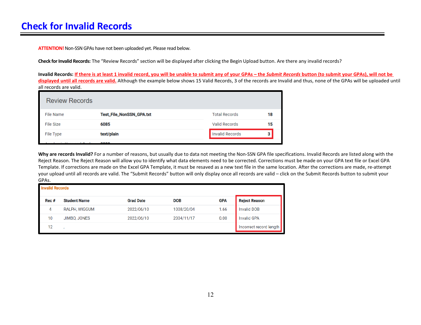**ATTENTION!** Non-SSN GPAs have not been uploaded yet. Please read below.

**Check for Invalid Records:** The "Review Records" section will be displayed after clicking the Begin Upload button. Are there any invalid records?

 **Invalid Records: If there is at least 1 invalid record, you will be unable to submit any of your GPAs – the** *Submit Records* **button (to submit your GPAs), will not be displayed until all records are valid.** Although the example below shows 15 Valid Records, 3 of the records are Invalid and thus, none of the GPAs will be uploaded until all records are valid.

| <b>Review Records</b> |                          |                        |    |
|-----------------------|--------------------------|------------------------|----|
| File Name             | Test_File_NonSSN_GPA.txt | <b>Total Records</b>   | 18 |
| File Size             | 6085                     | <b>Valid Records</b>   | 15 |
| File Type             | text/plain               | <b>Invalid Records</b> |    |
|                       | 0000                     |                        |    |

**Why are records Invalid?** For a number of reasons, but usually due to data not meeting the Non-SSN GPA file specifications. Invalid Records are listed along with the Reject Reason. The Reject Reason will allow you to identify what data elements need to be corrected. Corrections must be made on your GPA text file or Excel GPA Template. If corrections are made on the Excel GPA Template, it must be resaved as a new text file in the same location. After the corrections are made, re-attempt your upload until all records are valid. The "Submit Records" button will only display once all records are valid – click on the Submit Records button to submit your GPAs.

| <b>Invalid Records</b> |                     |                  |            |            |                         |  |  |
|------------------------|---------------------|------------------|------------|------------|-------------------------|--|--|
| Rec #                  | <b>Student Name</b> | <b>Grad Date</b> | <b>DOB</b> | <b>GPA</b> | <b>Reject Reason</b>    |  |  |
| 4                      | RALPH, WIGGUM       | 2022/06/10       | 1008/20/04 | 1.66       | <b>Invalid DOB</b>      |  |  |
| 10                     | JIMBO, JONES        | 2022/06/10       | 2004/11/17 | 0.00       | <b>Invalid GPA</b>      |  |  |
| 12                     |                     |                  |            |            | Incorrect record length |  |  |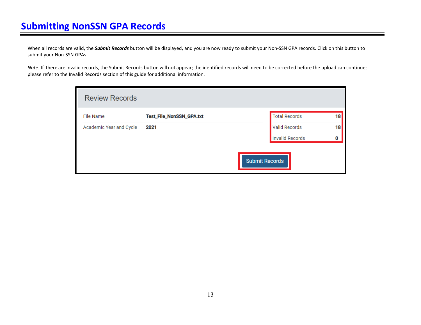When all records are valid, the *Submit Records* button will be displayed, and you are now ready to submit your Non-SSN GPA records. Click on this button to submit your Non-SSN GPAs.

 *Note:* If there are Invalid records, the Submit Records button will not appear; the identified records will need to be corrected before the upload can continue; please refer to the Invalid Records section of this guide for additional information.

| <b>Review Records</b>   |                          |                       |    |
|-------------------------|--------------------------|-----------------------|----|
| File Name               | Test_File_NonSSN_GPA.txt | <b>Total Records</b>  | 18 |
| Academic Year and Cycle | 2021                     | <b>Valid Records</b>  | 18 |
|                         |                          | Invalid Records       | 0  |
|                         |                          | <b>Submit Records</b> |    |